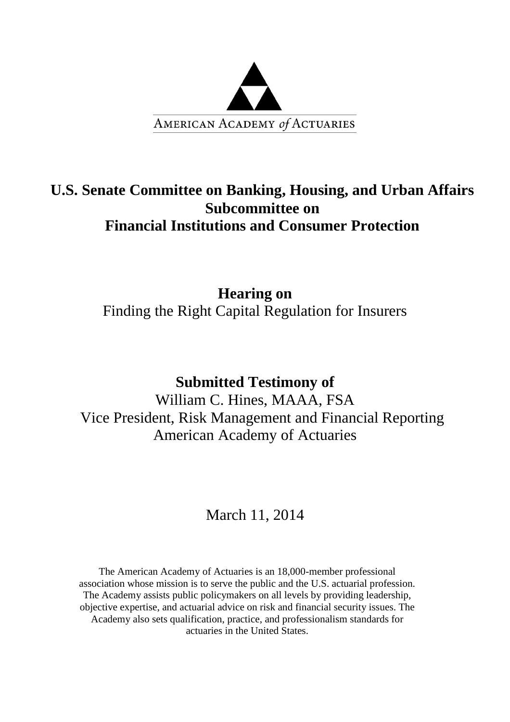

# **U.S. Senate Committee on Banking, Housing, and Urban Affairs Subcommittee on Financial Institutions and Consumer Protection**

**Hearing on**  Finding the Right Capital Regulation for Insurers

## **Submitted Testimony of**

William C. Hines, MAAA, FSA Vice President, Risk Management and Financial Reporting American Academy of Actuaries

## March 11, 2014

The American Academy of Actuaries is an 18,000-member professional association whose mission is to serve the public and the U.S. actuarial profession. The Academy assists public policymakers on all levels by providing leadership, objective expertise, and actuarial advice on risk and financial security issues. The Academy also sets qualification, practice, and professionalism standards for actuaries in the United States.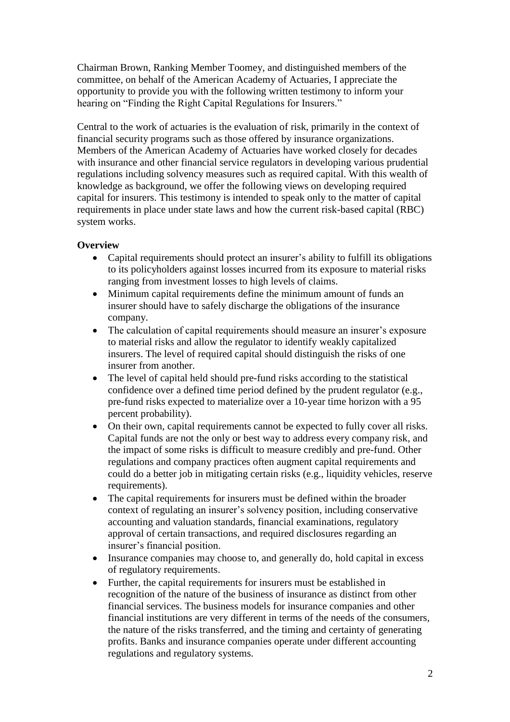Chairman Brown, Ranking Member Toomey, and distinguished members of the committee, on behalf of the American Academy of Actuaries, I appreciate the opportunity to provide you with the following written testimony to inform your hearing on "Finding the Right Capital Regulations for Insurers."

Central to the work of actuaries is the evaluation of risk, primarily in the context of financial security programs such as those offered by insurance organizations. Members of the American Academy of Actuaries have worked closely for decades with insurance and other financial service regulators in developing various prudential regulations including solvency measures such as required capital. With this wealth of knowledge as background, we offer the following views on developing required capital for insurers. This testimony is intended to speak only to the matter of capital requirements in place under state laws and how the current risk-based capital (RBC) system works.

### **Overview**

- Capital requirements should protect an insurer's ability to fulfill its obligations to its policyholders against losses incurred from its exposure to material risks ranging from investment losses to high levels of claims.
- Minimum capital requirements define the minimum amount of funds an insurer should have to safely discharge the obligations of the insurance company.
- The calculation of capital requirements should measure an insurer's exposure to material risks and allow the regulator to identify weakly capitalized insurers. The level of required capital should distinguish the risks of one insurer from another.
- The level of capital held should pre-fund risks according to the statistical confidence over a defined time period defined by the prudent regulator (e.g., pre-fund risks expected to materialize over a 10-year time horizon with a 95 percent probability).
- On their own, capital requirements cannot be expected to fully cover all risks. Capital funds are not the only or best way to address every company risk, and the impact of some risks is difficult to measure credibly and pre-fund. Other regulations and company practices often augment capital requirements and could do a better job in mitigating certain risks (e.g., liquidity vehicles, reserve requirements).
- The capital requirements for insurers must be defined within the broader context of regulating an insurer's solvency position, including conservative accounting and valuation standards, financial examinations, regulatory approval of certain transactions, and required disclosures regarding an insurer's financial position.
- Insurance companies may choose to, and generally do, hold capital in excess of regulatory requirements.
- Further, the capital requirements for insurers must be established in recognition of the nature of the business of insurance as distinct from other financial services. The business models for insurance companies and other financial institutions are very different in terms of the needs of the consumers, the nature of the risks transferred, and the timing and certainty of generating profits. Banks and insurance companies operate under different accounting regulations and regulatory systems.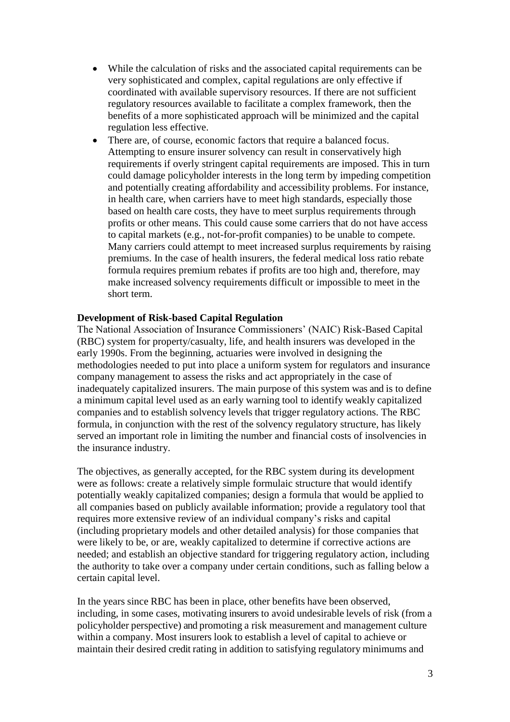- While the calculation of risks and the associated capital requirements can be very sophisticated and complex, capital regulations are only effective if coordinated with available supervisory resources. If there are not sufficient regulatory resources available to facilitate a complex framework, then the benefits of a more sophisticated approach will be minimized and the capital regulation less effective.
- There are, of course, economic factors that require a balanced focus. Attempting to ensure insurer solvency can result in conservatively high requirements if overly stringent capital requirements are imposed. This in turn could damage policyholder interests in the long term by impeding competition and potentially creating affordability and accessibility problems. For instance, in health care, when carriers have to meet high standards, especially those based on health care costs, they have to meet surplus requirements through profits or other means. This could cause some carriers that do not have access to capital markets (e.g., not-for-profit companies) to be unable to compete. Many carriers could attempt to meet increased surplus requirements by raising premiums. In the case of health insurers, the federal medical loss ratio rebate formula requires premium rebates if profits are too high and, therefore, may make increased solvency requirements difficult or impossible to meet in the short term.

#### **Development of Risk-based Capital Regulation**

The National Association of Insurance Commissioners' (NAIC) Risk-Based Capital (RBC) system for property/casualty, life, and health insurers was developed in the early 1990s. From the beginning, actuaries were involved in designing the methodologies needed to put into place a uniform system for regulators and insurance company management to assess the risks and act appropriately in the case of inadequately capitalized insurers. The main purpose of this system was and is to define a minimum capital level used as an early warning tool to identify weakly capitalized companies and to establish solvency levels that trigger regulatory actions. The RBC formula, in conjunction with the rest of the solvency regulatory structure, has likely served an important role in limiting the number and financial costs of insolvencies in the insurance industry.

The objectives, as generally accepted, for the RBC system during its development were as follows: create a relatively simple formulaic structure that would identify potentially weakly capitalized companies; design a formula that would be applied to all companies based on publicly available information; provide a regulatory tool that requires more extensive review of an individual company's risks and capital (including proprietary models and other detailed analysis) for those companies that were likely to be, or are, weakly capitalized to determine if corrective actions are needed; and establish an objective standard for triggering regulatory action, including the authority to take over a company under certain conditions, such as falling below a certain capital level.

In the years since RBC has been in place, other benefits have been observed, including, in some cases, motivating insurers to avoid undesirable levels of risk (from a policyholder perspective) and promoting a risk measurement and management culture within a company. Most insurers look to establish a level of capital to achieve or maintain their desired credit rating in addition to satisfying regulatory minimums and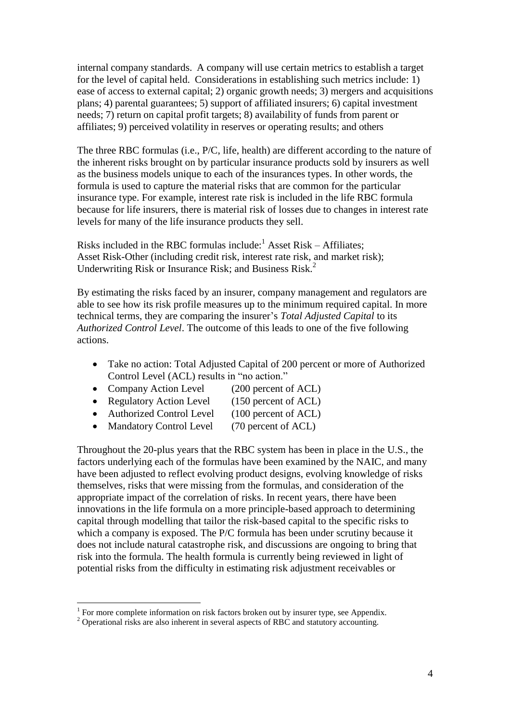internal company standards. A company will use certain metrics to establish a target for the level of capital held. Considerations in establishing such metrics include: 1) ease of access to external capital; 2) organic growth needs; 3) mergers and acquisitions plans; 4) parental guarantees; 5) support of affiliated insurers; 6) capital investment needs; 7) return on capital profit targets; 8) availability of funds from parent or affiliates; 9) perceived volatility in reserves or operating results; and others

The three RBC formulas (i.e., P/C, life, health) are different according to the nature of the inherent risks brought on by particular insurance products sold by insurers as well as the business models unique to each of the insurances types. In other words, the formula is used to capture the material risks that are common for the particular insurance type. For example, interest rate risk is included in the life RBC formula because for life insurers, there is material risk of losses due to changes in interest rate levels for many of the life insurance products they sell.

Risks included in the RBC formulas include: $<sup>1</sup>$  Asset Risk – Affiliates;</sup> Asset Risk-Other (including credit risk, interest rate risk, and market risk); Underwriting Risk or Insurance Risk; and Business Risk.<sup>2</sup>

By estimating the risks faced by an insurer, company management and regulators are able to see how its risk profile measures up to the minimum required capital. In more technical terms, they are comparing the insurer's *Total Adjusted Capital* to its *Authorized Control Level*. The outcome of this leads to one of the five following actions.

- Take no action: Total Adjusted Capital of 200 percent or more of Authorized Control Level (ACL) results in "no action."
- Company Action Level (200 percent of ACL)
- Regulatory Action Level (150 percent of ACL)
- Authorized Control Level (100 percent of ACL)
- Mandatory Control Level (70 percent of ACL)

Throughout the 20-plus years that the RBC system has been in place in the U.S., the factors underlying each of the formulas have been examined by the NAIC, and many have been adjusted to reflect evolving product designs, evolving knowledge of risks themselves, risks that were missing from the formulas, and consideration of the appropriate impact of the correlation of risks. In recent years, there have been innovations in the life formula on a more principle-based approach to determining capital through modelling that tailor the risk-based capital to the specific risks to which a company is exposed. The P/C formula has been under scrutiny because it does not include natural catastrophe risk, and discussions are ongoing to bring that risk into the formula. The health formula is currently being reviewed in light of potential risks from the difficulty in estimating risk adjustment receivables or

 $\overline{a}$ 

<sup>&</sup>lt;sup>1</sup> For more complete information on risk factors broken out by insurer type, see Appendix.

 $2$  Operational risks are also inherent in several aspects of RBC and statutory accounting.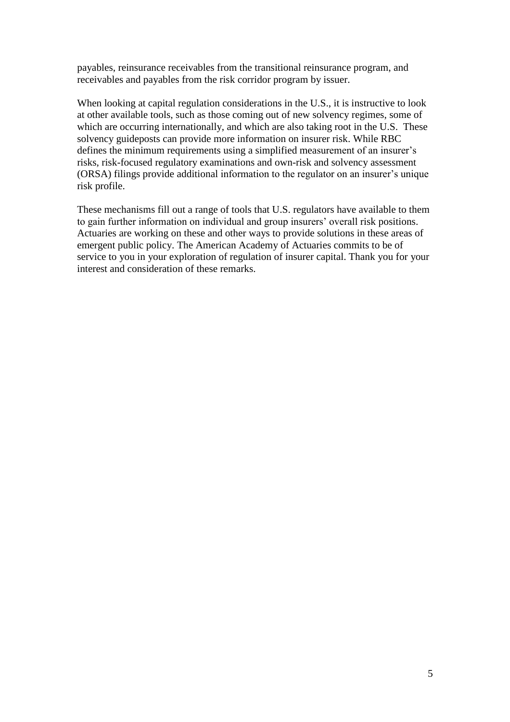payables, reinsurance receivables from the transitional reinsurance program, and receivables and payables from the risk corridor program by issuer.

When looking at capital regulation considerations in the U.S., it is instructive to look at other available tools, such as those coming out of new solvency regimes, some of which are occurring internationally, and which are also taking root in the U.S. These solvency guideposts can provide more information on insurer risk. While RBC defines the minimum requirements using a simplified measurement of an insurer's risks, risk-focused regulatory examinations and own-risk and solvency assessment (ORSA) filings provide additional information to the regulator on an insurer's unique risk profile.

These mechanisms fill out a range of tools that U.S. regulators have available to them to gain further information on individual and group insurers' overall risk positions. Actuaries are working on these and other ways to provide solutions in these areas of emergent public policy. The American Academy of Actuaries commits to be of service to you in your exploration of regulation of insurer capital. Thank you for your interest and consideration of these remarks.